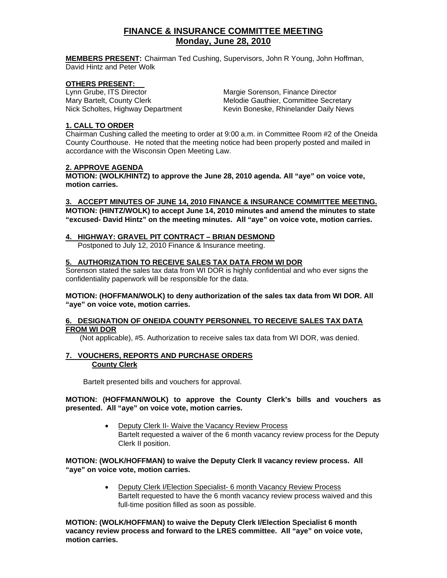## **FINANCE & INSURANCE COMMITTEE MEETING Monday, June 28, 2010**

**MEMBERS PRESENT:** Chairman Ted Cushing, Supervisors, John R Young, John Hoffman, David Hintz and Peter Wolk

# **OTHERS PRESENT:**<br>Lynn Grube, ITS Director

Margie Sorenson, Finance Director Mary Bartelt, County Clerk Melodie Gauthier, Committee Secretary Nick Scholtes, Highway Department Kevin Boneske, Rhinelander Daily News

#### **1. CALL TO ORDER**

Chairman Cushing called the meeting to order at 9:00 a.m. in Committee Room #2 of the Oneida County Courthouse. He noted that the meeting notice had been properly posted and mailed in accordance with the Wisconsin Open Meeting Law.

#### **2. APPROVE AGENDA**

**MOTION: (WOLK/HINTZ) to approve the June 28, 2010 agenda. All "aye" on voice vote, motion carries.** 

#### **3. ACCEPT MINUTES OF JUNE 14, 2010 FINANCE & INSURANCE COMMITTEE MEETING.**

**MOTION: (HINTZ/WOLK) to accept June 14, 2010 minutes and amend the minutes to state "excused- David Hintz" on the meeting minutes. All "aye" on voice vote, motion carries.** 

#### **4. HIGHWAY: GRAVEL PIT CONTRACT – BRIAN DESMOND**

Postponed to July 12, 2010 Finance & Insurance meeting.

#### **5. AUTHORIZATION TO RECEIVE SALES TAX DATA FROM WI DOR**

Sorenson stated the sales tax data from WI DOR is highly confidential and who ever signs the confidentiality paperwork will be responsible for the data.

#### **MOTION: (HOFFMAN/WOLK) to deny authorization of the sales tax data from WI DOR. All "aye" on voice vote, motion carries.**

#### **6. DESIGNATION OF ONEIDA COUNTY PERSONNEL TO RECEIVE SALES TAX DATA FROM WI DOR**

(Not applicable), #5. Authorization to receive sales tax data from WI DOR, was denied.

#### **7. VOUCHERS, REPORTS AND PURCHASE ORDERS County Clerk**

Bartelt presented bills and vouchers for approval.

#### **MOTION: (HOFFMAN/WOLK) to approve the County Clerk's bills and vouchers as presented. All "aye" on voice vote, motion carries.**

• Deputy Clerk II- Waive the Vacancy Review Process Bartelt requested a waiver of the 6 month vacancy review process for the Deputy Clerk II position.

#### **MOTION: (WOLK/HOFFMAN) to waive the Deputy Clerk II vacancy review process. All "aye" on voice vote, motion carries.**

• Deputy Clerk I/Election Specialist- 6 month Vacancy Review Process Bartelt requested to have the 6 month vacancy review process waived and this full-time position filled as soon as possible.

**MOTION: (WOLK/HOFFMAN) to waive the Deputy Clerk I/Election Specialist 6 month vacancy review process and forward to the LRES committee. All "aye" on voice vote, motion carries.**